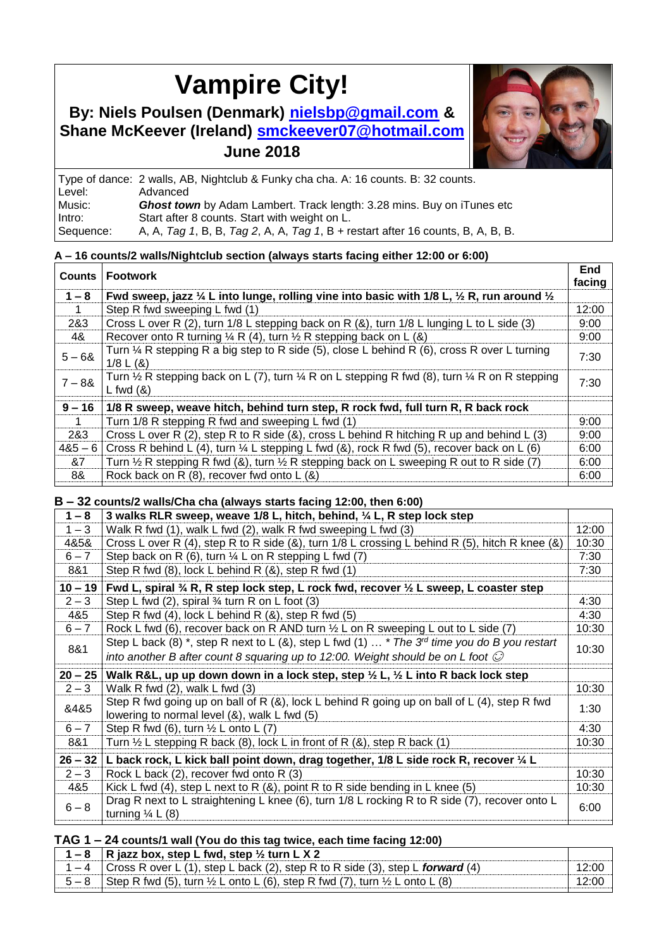# **Vampire City!**

## **By: Niels Poulsen (Denmark)** <sup>T</sup>**[nielsbp@gmail.com](mailto:Tnielsbp@gmail.comUT)**UT **& Shane McKeever (Ireland) [smckeever07@hotmail.com](mailto:smckeever07@hotmail.com) June 2018**



|           | Type of dance: 2 walls, AB, Nightclub & Funky cha cha. A: 16 counts. B: 32 counts. |
|-----------|------------------------------------------------------------------------------------|
| Level:    | Advanced                                                                           |
| Music:    | <b>Ghost town</b> by Adam Lambert. Track length: 3.28 mins. Buy on iTunes etc      |
| Intro:    | Start after 8 counts. Start with weight on L.                                      |
| Sequence: | A, A, Tag 1, B, B, Tag 2, A, A, Tag 1, B + restart after 16 counts, B, A, B, B.    |

#### **A – 16 counts/2 walls/Nightclub section (always starts facing either 12:00 or 6:00)**

| Counts    | <b>Footwork</b>                                                                                                                                | <b>End</b><br>facing |
|-----------|------------------------------------------------------------------------------------------------------------------------------------------------|----------------------|
| $1 - 8$   | Fwd sweep, jazz $\frac{1}{4}$ L into lunge, rolling vine into basic with 1/8 L, $\frac{1}{2}$ R, run around $\frac{1}{2}$                      |                      |
|           | Step R fwd sweeping L fwd (1)                                                                                                                  | 12:00                |
| 2&3       | Cross L over R (2), turn 1/8 L stepping back on R (&), turn 1/8 L lunging L to L side (3)                                                      | 9:00                 |
| 4&        | Recover onto R turning $\frac{1}{4}$ R (4), turn $\frac{1}{2}$ R stepping back on L (&)                                                        | 9:00                 |
| $5 - 68$  | Turn $\frac{1}{4}$ R stepping R a big step to R side (5), close L behind R (6), cross R over L turning<br>$1/8$ L $(8)$                        | 7:30                 |
| $7 - 88$  | Turn $\frac{1}{2}$ R stepping back on L (7), turn $\frac{1}{4}$ R on L stepping R fwd (8), turn $\frac{1}{4}$ R on R stepping<br>$L$ fwd $(8)$ | 7:30                 |
| $9 - 16$  | 1/8 R sweep, weave hitch, behind turn step, R rock fwd, full turn R, R back rock                                                               |                      |
|           | Turn 1/8 R stepping R fwd and sweeping L fwd (1)                                                                                               | 9:00                 |
| 2&3       | Cross L over R (2), step R to R side (&), cross L behind R hitching R up and behind L (3)                                                      | 9:00                 |
| $485 - 6$ | Cross R behind L (4), turn $\frac{1}{4}$ L stepping L fwd (8), rock R fwd (5), recover back on L (6)                                           | 6:00                 |
| &7        | Turn $\frac{1}{2}$ R stepping R fwd (&), turn $\frac{1}{2}$ R stepping back on L sweeping R out to R side (7)                                  | 6:00                 |
| 8&        | Rock back on R (8), recover fwd onto L (&)                                                                                                     | 6:00                 |

#### **B – 32 counts/2 walls/Cha cha (always starts facing 12:00, then 6:00)**

| $1 - 8$   | $\frac{1}{2}$ . The started form to the started the started started for $\frac{1}{2}$<br>3 walks RLR sweep, weave 1/8 L, hitch, behind, 1/4 L, R step lock step |       |
|-----------|-----------------------------------------------------------------------------------------------------------------------------------------------------------------|-------|
| $1 - 3$   | Walk R fwd (1), walk L fwd (2), walk R fwd sweeping L fwd (3)                                                                                                   | 12:00 |
| 4&5&      | Cross L over R (4), step R to R side (&), turn $1/8$ L crossing L behind R (5), hitch R knee (&)                                                                | 10:30 |
| $6 - 7$   | Step back on R (6), turn $\frac{1}{4}$ L on R stepping L fwd (7)                                                                                                | 7:30  |
| 8&1       | Step R fwd $(8)$ , lock L behind R $(8)$ , step R fwd $(1)$                                                                                                     | 7:30  |
| $10 - 19$ | Fwd L, spiral $\mathcal{U}_A$ R, R step lock step, L rock fwd, recover $\mathcal{V}_2$ L sweep, L coaster step                                                  |       |
| $2 - 3$   | Step L fwd $(2)$ , spiral $\frac{3}{4}$ turn R on L foot $(3)$                                                                                                  | 4:30  |
| 4&5       | Step R fwd (4), lock L behind R (&), step R fwd (5)                                                                                                             | 4:30  |
| $6 - 7$   | Rock L fwd (6), recover back on R AND turn $\frac{1}{2}$ L on R sweeping L out to L side (7)                                                                    | 10:30 |
|           | Step L back (8) *, step R next to L (&), step L fwd (1)  * The 3 <sup>rd</sup> time you do B you restart                                                        |       |
| 8&1       | into another B after count 8 squaring up to 12:00. Weight should be on L foot $\odot$                                                                           | 10:30 |
| $20 - 25$ | Walk R&L, up up down down in a lock step, step $\frac{1}{2}$ L, $\frac{1}{2}$ L into R back lock step                                                           |       |
| $2 - 3$   | Walk R fwd $(2)$ , walk L fwd $(3)$                                                                                                                             | 10:30 |
| 8485      | Step R fwd going up on ball of R (&), lock L behind R going up on ball of L (4), step R fwd<br>lowering to normal level (&), walk L fwd (5)                     | 1:30  |
| $6 - 7$   | Step R fwd (6), turn $\frac{1}{2}$ L onto L (7)                                                                                                                 | 4:30  |
| 8&1       | Turn $\frac{1}{2}$ L stepping R back (8), lock L in front of R (&), step R back (1)                                                                             | 10:30 |
| $26 - 32$ | L back rock, L kick ball point down, drag together, 1/8 L side rock R, recover 1/4 L                                                                            |       |
| $2 - 3$   | Rock L back (2), recover fwd onto R (3)                                                                                                                         | 10:30 |
| 4&5       | Kick L fwd (4), step L next to R $(8)$ , point R to R side bending in L knee (5)                                                                                | 10:30 |
| $6 - 8$   | Drag R next to L straightening L knee (6), turn 1/8 L rocking R to R side (7), recover onto L<br>turning $\frac{1}{4}$ L (8)                                    | 6:00  |

#### **TAG 1 – 24 counts/1 wall (You do this tag twice, each time facing 12:00)**

| 1 – 8   R jazz box, step L fwd, step $\frac{1}{2}$ turn L X 2                                          |       |
|--------------------------------------------------------------------------------------------------------|-------|
| 1 – 4 Cross R over L (1), step L back (2), step R to R side (3), step L forward (4)                    | 12:00 |
| $5-8$ Step R fwd (5), turn $\frac{1}{2}$ L onto L (6), step R fwd (7), turn $\frac{1}{2}$ L onto L (8) | 12:00 |
|                                                                                                        |       |